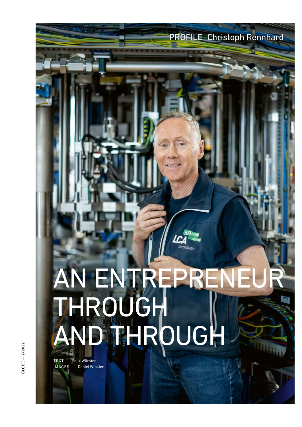## AN ENTREPRENEUR THROUGH AND THROUGH NOBEL<br>INTEXT Felix Würsten<br>COBEL MAGES Daniel Winkler<br>COBEL

**AUTOMATION** 

PROFILE Christoph Rennhard

TEXT Felix Würsten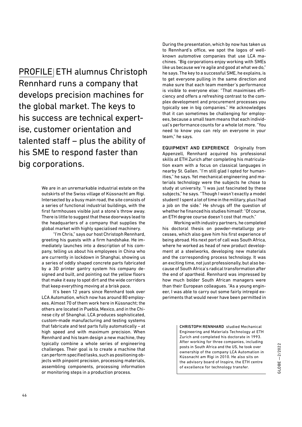PROFILE ETH alumnus Christoph Rennhard runs a company that develops precision machines for the global market. The keys to his success are technical expertise, customer orientation and talented staff  $-$  plus the ability of his SME to respond faster than big corporations.

> We are in an unremarkable industrial estate on the outskirts of the Swiss village of Küssnacht am Rigi. Intersected by a busy main road, the site consists of a series of functional industrial buildings, with the first farmhouses visible just a stone's throw away. There is little to suggest that these doorways lead to the headquarters of a company that supplies the global market with highly specialised machinery.

> "I'm Chris," says our host Christoph Rennhard, greeting his guests with a firm handshake. He immediately launches into a description of his company, telling us about his employees in China who are currently in lockdown in Shanghai, showing us a series of oddly shaped concrete parts fabricated by a 3D printer gantry system his company designed and built, and pointing out the yellow floors that make it easy to spot dirt and the wide corridors that keep everything moving at a brisk pace.

> It's been 12 years since Rennhard took over LCA Automation, which now has around 80 employees. Almost 70 of them work here in Küssnacht; the others are located in Puebla, Mexico, and in the Chinese city of Shanghai. LCA produces sophisticated, custom-made manufacturing and testing systems that fabricate and test parts fully automatically – at high speed and with maximum precision. When Rennhard and his team design a new machine, they typically combine a whole series of engineering challenges. Their goal is to create a machine that can perform specified tasks, such as positioning objects with pinpoint precision, processing materials, assembling components, processing information or monitoring steps in a production process.

During the presentation, which by now has taken us to Rennhard's office, we spot the logos of wellknown automotive companies that use LCA machines. "Big corporations enjoy working with SMEs like us because we're agile and good at what we do," he says. The key to a successful SME, he explains, is to get everyone pulling in the same direction and make sure that each team member's performance is visible to everyone else: "That maximises efficiency and offers a refreshing contrast to the complex development and procurement processes you typically see in big companies." He acknowledges that it can sometimes be challenging for employees, because a small team means that each individual's performance counts for a whole lot more. "You need to know you can rely on everyone in your team," he says.

EQUIPMENT AND EXPERIENCE Originally from Appenzell, Rennhard acquired his professional skills at ETH Zurich after completing his matriculation exam with a focus on classical languages in nearby St. Gallen. "I'm still glad I opted for humanities," he says. Yet mechanical engineering and materials technology were the subjects he chose to study at university. "I was just fascinated by these subjects," he says. "Though I wasn't exactly a model student! I spent a lot of time in the military, plus I had a job on the side." He shrugs off the question of whether he financed his studies himself: "Of course, an ETH degree course doesn't cost that much."

Working with industry partners, he completed his doctoral thesis on powder-metallurgy processes, which also gave him his first experience of being abroad. His next port of call was South Africa, where he worked as head of new product development at a steelworks, developing new materials and the corresponding process technology. It was an exciting time, not just professionally, but also because of South Africa's radical transformation after the end of apartheid. Rennhard was impressed by how much bolder South African managers were than their European colleagues. "As a young engineer, I was able to carry out some fairly intrepid experiments that would never have been permitted in

> CHRISTOPH RENNHARD studied Mechanical Engineering and Materials Technology at ETH Zurich and completed his doctorate in 1993. After working for three companies, including posts in South Africa and the US, he took over ownership of the company LCA Automation in Küssnacht am Rigi in 2010. He also sits on the advisory board of Inspire, the ETH centre posts in South Africa and the US, he took over<br>ownership of the company LCA Automation in<br>Küssnacht am Rigi in 2010. He also sits on<br>the advisory board of Inspire, the ETH centre<br>of excellence for technology transfer.